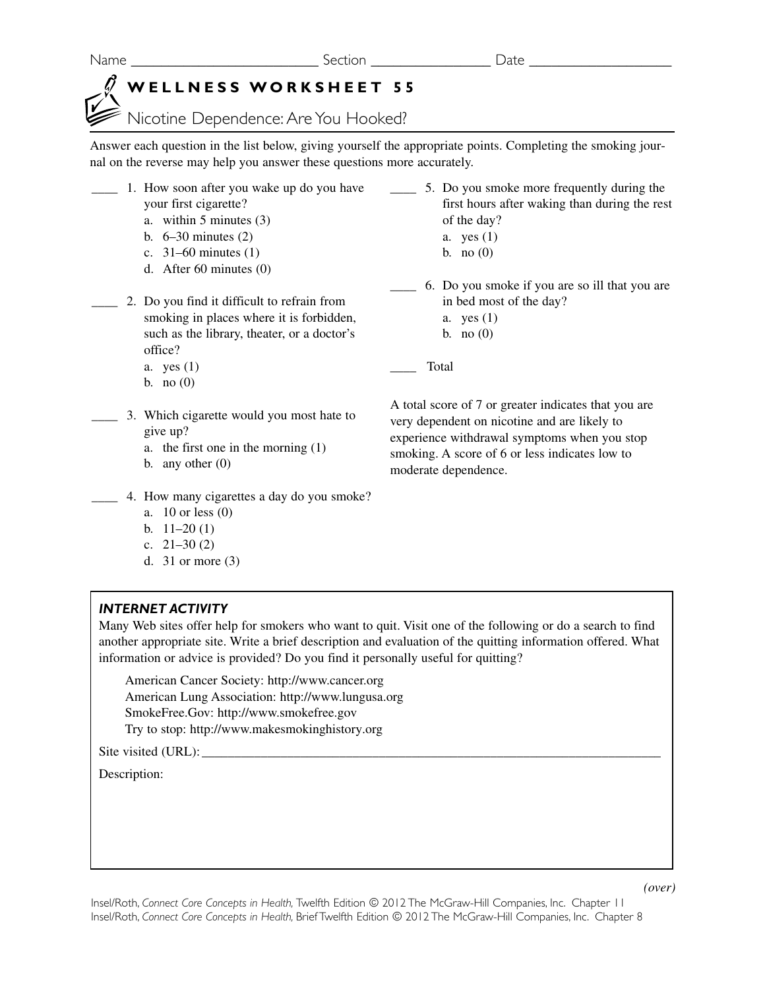Name **Name Name** Section **Section Date**  $\overline{\phantom{a}}$ 

## **WELLNESS WORKSHEET 55**

Nicotine Dependence: Are You Hooked?

Answer each question in the list below, giving yourself the appropriate points. Completing the smoking journal on the reverse may help you answer these questions more accurately.

- \_\_\_\_ 1. How soon after you wake up do you have \_\_\_\_ 5. Do you smoke more frequently during the your first cigarette?
	- a. within 5 minutes (3)
	- b. 6–30 minutes (2)
	- c. 31–60 minutes (1)
	- d. After 60 minutes (0)
- \_\_\_\_ 2. Do you find it difficult to refrain from smoking in places where it is forbidden, such as the library, theater, or a doctor's office?
- first hours after waking than during the rest of the day?
	- a. yes (1)
	- b. no  $(0)$
- \_\_\_\_ 6. Do you smoke if you are so ill that you are in bed most of the day?
	- a. yes (1) b. no  $(0)$
	-

\_\_\_\_ Total

- a. yes (1)
- b. no  $(0)$
- \_\_\_\_ 3. Which cigarette would you most hate to give up?
	- a. the first one in the morning (1)
	- b. any other  $(0)$
- 4. How many cigarettes a day do you smoke?
	- a. 10 or less (0)
	- b. 11–20 (1)
	- c.  $21-30(2)$
	- d. 31 or more (3)

## *INTERNET ACTIVITY*

Many Web sites offer help for smokers who want to quit. Visit one of the following or do a search to find another appropriate site. Write a brief description and evaluation of the quitting information offered. What information or advice is provided? Do you find it personally useful for quitting?

American Cancer Society: http://www.cancer.org American Lung Association: http://www.lungusa.org SmokeFree.Gov: http://www.smokefree.gov Try to stop: http://www.makesmokinghistory.org

Site visited (URL):

Description:

A total score of 7 or greater indicates that you are very dependent on nicotine and are likely to experience withdrawal symptoms when you stop smoking. A score of 6 or less indicates low to moderate dependence.